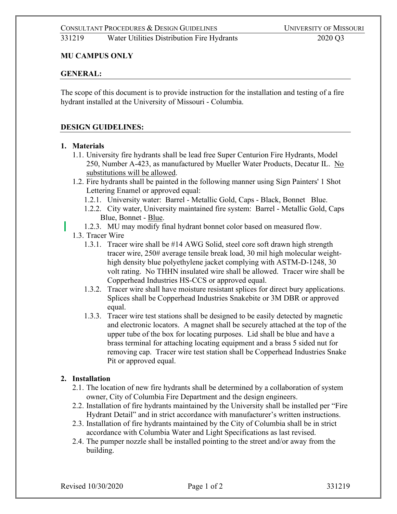#### **MU CAMPUS ONLY**

#### **GENERAL:**

The scope of this document is to provide instruction for the installation and testing of a fire hydrant installed at the University of Missouri - Columbia.

#### **DESIGN GUIDELINES:**

#### **1. Materials**

1.1. University fire hydrants shall be lead free Super Centurion Fire Hydrants, Model 250, Number A-423, as manufactured by Mueller Water Products, Decatur IL. No substitutions will be allowed.

1.2. Fire hydrants shall be painted in the following manner using Sign Painters' 1 Shot Lettering Enamel or approved equal:

- 1.2.1. University water: Barrel Metallic Gold, Caps Black, Bonnet Blue.
- 1.2.2. City water, University maintained fire system: Barrel Metallic Gold, Caps Blue, Bonnet - Blue.
- 1.2.3. MU may modify final hydrant bonnet color based on measured flow.
- 1.3. Tracer Wire
	- 1.3.1. Tracer wire shall be #14 AWG Solid, steel core soft drawn high strength tracer wire, 250# average tensile break load, 30 mil high molecular weighthigh density blue polyethylene jacket complying with ASTM-D-1248, 30 volt rating. No THHN insulated wire shall be allowed. Tracer wire shall be Copperhead Industries HS-CCS or approved equal.
	- 1.3.2. Tracer wire shall have moisture resistant splices for direct bury applications. Splices shall be Copperhead Industries Snakebite or 3M DBR or approved equal.
	- 1.3.3. Tracer wire test stations shall be designed to be easily detected by magnetic and electronic locators. A magnet shall be securely attached at the top of the upper tube of the box for locating purposes. Lid shall be blue and have a brass terminal for attaching locating equipment and a brass 5 sided nut for removing cap. Tracer wire test station shall be Copperhead Industries Snake Pit or approved equal.

#### **2. Installation**

- 2.1. The location of new fire hydrants shall be determined by a collaboration of system owner, City of Columbia Fire Department and the design engineers.
- 2.2. Installation of fire hydrants maintained by the University shall be installed per "Fire Hydrant Detail" and in strict accordance with manufacturer's written instructions.
- 2.3. Installation of fire hydrants maintained by the City of Columbia shall be in strict accordance with Columbia Water and Light Specifications as last revised.
- 2.4. The pumper nozzle shall be installed pointing to the street and/or away from the building.